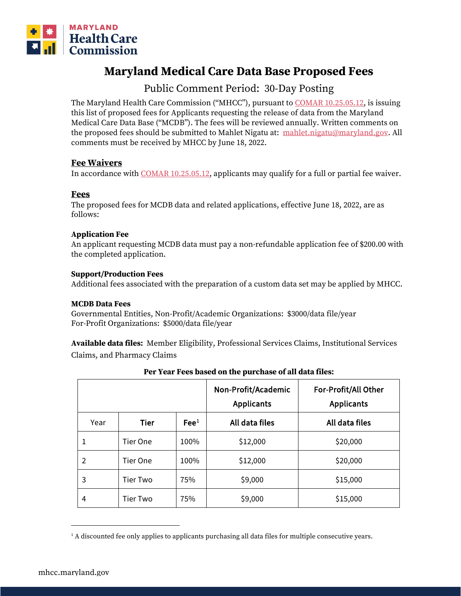

# **Maryland Medical Care Data Base Proposed Fees**

# Public Comment Period: 30-Day Posting

The Maryland Health Care Commission ("MHCC"), pursuant t[o COMAR 10.25.05.12,](http://www.dsd.state.md.us/comar/comarhtml/10/10.25.05.12.htm) is issuing this list of proposed fees for Applicants requesting the release of data from the Maryland Medical Care Data Base ("MCDB"). The fees will be reviewed annually. Written comments on the proposed fees should be submitted to Mahlet Nigatu at: [mahlet.nigatu@maryland.gov.](mailto:mahlet.nigatu@maryland.gov) All comments must be received by MHCC by June 18, 2022.

# **Fee Waivers**

In accordance with [COMAR 10.25.05.12,](http://www.dsd.state.md.us/comar/comarhtml/10/10.25.05.12.htm) applicants may qualify for a full or partial fee waiver.

# **Fees**

The proposed fees for MCDB data and related applications, effective June 18, 2022, are as follows:

### **Application Fee**

An applicant requesting MCDB data must pay a non-refundable application fee of \$200.00 with the completed application.

#### **Support/Production Fees**

Additional fees associated with the preparation of a custom data set may be applied by MHCC.

#### **MCDB Data Fees**

Governmental Entities, Non-Profit/Academic Organizations: \$3000/data file/year For-Profit Organizations: \$5000/data file/year

**Available data files:** Member Eligibility, Professional Services Claims, Institutional Services Claims, and Pharmacy Claims

|      |                 |                 | Non-Profit/Academic<br><b>Applicants</b> | For-Profit/All Other<br><b>Applicants</b> |
|------|-----------------|-----------------|------------------------------------------|-------------------------------------------|
| Year | <b>Tier</b>     | $\text{Fe}^{1}$ | All data files                           | All data files                            |
|      | Tier One        | 100%            | \$12,000                                 | \$20,000                                  |
| 2    | Tier One        | 100%            | \$12,000                                 | \$20,000                                  |
| 3    | <b>Tier Two</b> | 75%             | \$9,000                                  | \$15,000                                  |
| 4    | Tier Two        | 75%             | \$9,000                                  | \$15,000                                  |

#### **Per Year Fees based on the purchase of all data files:**

<span id="page-0-0"></span> $<sup>1</sup>$  A discounted fee only applies to applicants purchasing all data files for multiple consecutive years.</sup>